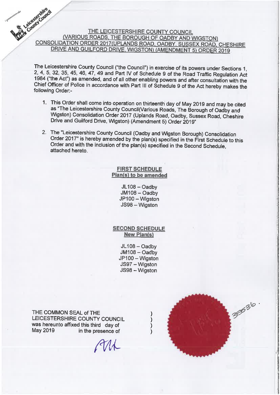# Leicester Council THE LEICESTERSHIRE COUNTY COUNCIL (VARIOUS ROADS, THE BOROUGH OF OADBY AND WIGSTON) CONSOLIDATION ORDER 2017(UPLANDS ROAD, OADBY, SUSSEX ROAD, CHESHIRE DRIVE AND GUILFORD DRIVE, WIGSTON) (AMENDMENT 5) ORDER 2019

The Leicestershire County Council ("the Council") in exercise of its powers under Sections 1, 2, 4, 5, 32, 35, 45, 46, 47, 49 and Part IV of Schedule 9 of the Road Traffic Regulation Act 1984 ("the Act") as amended, and of all other enabling powers and after consultation with the Chief Officer of Police in accordance with Part III of Schedule 9 of the Act hereby makes the following Order:-

- 1. This Order shall come into operation on thirteenth day of May 2019 and may be cited as "The Leicestershire County Council(Various Roads, The Borough of Oadby and Wigston) Consolidation Order 2017 (Uplands Road, Oadby, Sussex Road, Cheshire Drive and Guilford Drive, Wigston) (Amendment 5) Order 2019"
- 2. The "Leicestershire County Council (Oadby and Wigston Borough) Consolidation Order 2017" is hereby amended by the plan(s) specified in the First Schedule to this Order and with the inclusion of the plan(s) specified in the Second Schedule, attached hereto.

**FIRST SCHEDULE** Plan(s) to be amended

> JL108 - Oadby JM108 - Oadby JP100 - Wigston JS98 - Wigston

**SECOND SCHEDULE New Plan(s)** 

> JL108 - Oadby JM108 - Oadby JP100 - Wigston JS97 - Wigston JS98 - Wigston

> > $\mathcal{E}$

 $\mathcal{E}$ 

THE COMMON SEAL of THE LEICESTERSHIRE COUNTY COUNCIL was hereunto affixed this third day of May 2019 in the presence of

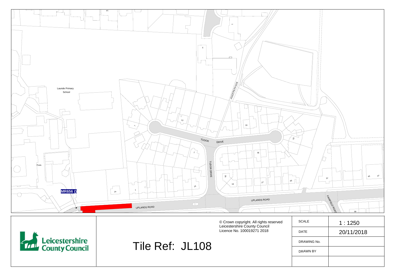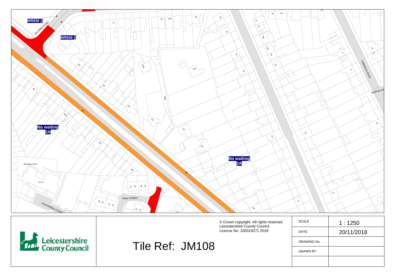

| <b>Exercise Leicestershire</b><br>County Council |                 | © Crown copyright. All rights reserved<br>Leicestershire County Council<br>Licence No. 100019271 2018 | SCALE       | 1:1250     |
|--------------------------------------------------|-----------------|-------------------------------------------------------------------------------------------------------|-------------|------------|
|                                                  |                 |                                                                                                       | <b>DATE</b> | 20/11/2018 |
|                                                  | Tile Ref: JM108 |                                                                                                       | DRAWING No. |            |
|                                                  |                 |                                                                                                       | DRAWN BY    |            |
|                                                  |                 |                                                                                                       |             |            |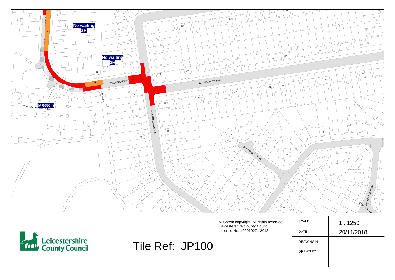

| <b>Leicestershire</b><br>Le County Council |                 | © Crown copyright. All rights reserved<br>Leicestershire County Council<br>Licence No. 100019271 2018 | SCALE<br><b>DATE</b> | 1:1250<br>20/11/2018 |
|--------------------------------------------|-----------------|-------------------------------------------------------------------------------------------------------|----------------------|----------------------|
|                                            | Tile Ref: JP100 |                                                                                                       | DRAWING No.          |                      |
|                                            |                 |                                                                                                       | DRAWN BY             |                      |
|                                            |                 |                                                                                                       |                      |                      |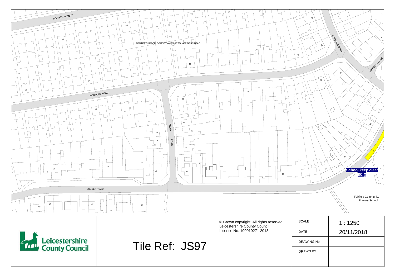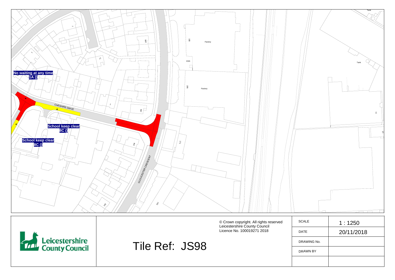

| <b>Example 3</b> Leicestershire<br>County Council |                | © Crown copyright. All rights reserved<br>Leicestershire County Council<br>Licence No. 100019271 2018 | <b>SCALE</b>    | 1:1250     |
|---------------------------------------------------|----------------|-------------------------------------------------------------------------------------------------------|-----------------|------------|
|                                                   |                |                                                                                                       | <b>DATE</b>     | 20/11/2018 |
|                                                   | Tile Ref: JS98 |                                                                                                       | DRAWING No.     |            |
|                                                   |                |                                                                                                       | <b>DRAWN BY</b> |            |
|                                                   |                |                                                                                                       |                 |            |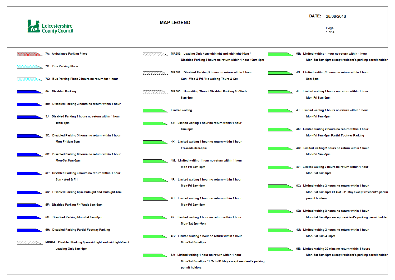

| 7A: Ambulance Parking Place<br>MR585: Loading Only 4pm-midnight and midnight-10am /<br>Disabled Parking 3 hours no return within 1 hour 10am-4pm          |    |
|-----------------------------------------------------------------------------------------------------------------------------------------------------------|----|
|                                                                                                                                                           |    |
| 7B: Bus Parking Place                                                                                                                                     |    |
| MR582: Disabled Parking 3 hours no return within 1 hour<br>7C: Bus Parking Place 2 hours no return for 1 hour<br>Sun - Wed & Fri / No waiting Thurs & Sat |    |
| 5A: Disabled Parking<br>MR505: No waiting Thurs / Disabled Parking Fri-Weds<br>8am-6pm                                                                    |    |
| 5B: Disabled Parking 3 hours no return within 1 hour                                                                                                      |    |
| <b>Limited waiting</b><br>5J: Disabled Parking 3 hours no return within 1 hour                                                                            |    |
| 4S: Limited waiting 1 hour no return within 1 hour<br>10am-4pm                                                                                            |    |
| 8am-6pm<br>5C: Disabled Parking 3 hours no return within 1 hour                                                                                           |    |
| 4K: Limited waiting 1 hour no return within 1 hour<br>Mon-Fri 8am-5pm                                                                                     |    |
| Fri-Weds 8am-6pm<br>5D: Disabled Parking 3 hours no return within 1 hour                                                                                  |    |
| 4M: Limited waiting 1 hour no return within 1 hour<br>Mon-Sat 8am-6pm                                                                                     |    |
| Mon-Fri 8am-5pm<br>Disabled Parking 3 hours no return within 1 hour<br>5E:                                                                                |    |
| Sun - Wed & Fri<br>4R: Limited waiting 1 hour no return within 1 hour                                                                                     |    |
| Mon-Fri 8am-6pm<br>5K: Disabled Parking 6pm-midnight and midnight-6am                                                                                     | 60 |
| 4H: Limited waiting 1 hour no return within 1 hour                                                                                                        |    |
| 5F: Disabled Parking Fri-Weds 8am-6pm<br>Mon-Fri 9am-5pm                                                                                                  |    |
| 5G: Disabled Parking Mon-Sat 8am-6pm<br>4Y: Limited waiting 1 hour no return within 1 hour                                                                | 6I |
| Mon-Sat 3pm-6pm                                                                                                                                           |    |
| 5H: Disabled Parking Partial Footway Parking<br>4G: Limited waiting 1 hour no return within 1 hour                                                        | 41 |
| MR644: Disabled Parking 6pm-midnight and midnight-6am /<br>Mon-Sat 8am-6pm                                                                                |    |
| Loading Only 6am-6pm                                                                                                                                      | 61 |
| 6A: Limited waiting 1 hour no return within 1 hour                                                                                                        |    |
| Mon-Sat 8am-6pm 01 Oct - 31 May except resident's parking<br>permit holders                                                                               |    |

## DATE: 28/08/2018

#### Page  $1$  of  $4$

- B: Limited waiting 1 hour no return within 1 hour Mon-Sat 8am-6pm except resident's parking permit holder
- N: Limited waiting 2 hours no return within 1 hour 8am-6pm
- L: Limited waiting 2 hours no return within 1 hour Mon-Fri 8am-5pm
- J: Limited waiting 2 hours no return within 1 hour Mon-Fri 8am-6pm
- X: Limited waiting 2 hours no return within 1 hour Mon-Fri 8am-6pm Partial Footway Parking
- Q: Limited waiting 2 hours no return within 1 hour Mon-Fri 9am-5pm
- V: Limited waiting 2 hours no return within 1 hour Mon-Sat 8am-6pm
- C: Limited waiting 2 hours no return within 1 hour Mon-Sat 8am-6pm 01 Oct - 31 May except resident's parkin permit holders
- D: Limited waiting 2 hours no return within 1 hour Mon-Sat 8am-6pm except resident's parking permit holder
- U: Limited waiting 2 hours no return within 1 hour Mon-Sat 9am-4.30pm
- E: Limited waiting 20 mins no return within 3 hours Mon-Sat 8am-6pm except resident's parking permit holder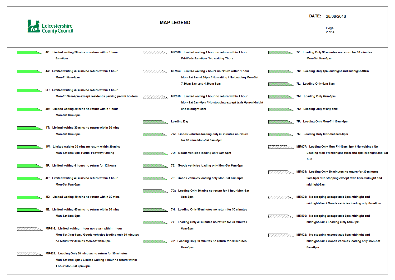

| 4C: Limited waiting 30 mins no return within 1 hour      |                                                                                                                                                                                                                                                                                                                                                                                                                                                                                                                                                       | MR506: Limited waiting 1 hour no return within 1 hour   |                                                                                                                                                                                                                                                                                                                                                                      |    |
|----------------------------------------------------------|-------------------------------------------------------------------------------------------------------------------------------------------------------------------------------------------------------------------------------------------------------------------------------------------------------------------------------------------------------------------------------------------------------------------------------------------------------------------------------------------------------------------------------------------------------|---------------------------------------------------------|----------------------------------------------------------------------------------------------------------------------------------------------------------------------------------------------------------------------------------------------------------------------------------------------------------------------------------------------------------------------|----|
| 8am-6pm                                                  |                                                                                                                                                                                                                                                                                                                                                                                                                                                                                                                                                       | Fri-Weds 8am-6pm / No waiting Thurs                     |                                                                                                                                                                                                                                                                                                                                                                      |    |
|                                                          |                                                                                                                                                                                                                                                                                                                                                                                                                                                                                                                                                       |                                                         |                                                                                                                                                                                                                                                                                                                                                                      |    |
| 4A: Limited waiting 30 mins no return within 1 hour      |                                                                                                                                                                                                                                                                                                                                                                                                                                                                                                                                                       | MR563: Limited waiting 2 hours no return within 1 hour  |                                                                                                                                                                                                                                                                                                                                                                      |    |
| Mon-Fri 8am-6pm                                          |                                                                                                                                                                                                                                                                                                                                                                                                                                                                                                                                                       | Mon-Sat 9am-4.30pm / No waiting / No Loading Mon-Sat    |                                                                                                                                                                                                                                                                                                                                                                      |    |
|                                                          |                                                                                                                                                                                                                                                                                                                                                                                                                                                                                                                                                       | 7.30am-9am and 4.30pm-6pm                               |                                                                                                                                                                                                                                                                                                                                                                      | 71 |
| 6F: Limited waiting 30 mins no return within 1 hour      |                                                                                                                                                                                                                                                                                                                                                                                                                                                                                                                                                       |                                                         |                                                                                                                                                                                                                                                                                                                                                                      |    |
| Mon-Fri 9am-4pm except resident's parking permit holders |                                                                                                                                                                                                                                                                                                                                                                                                                                                                                                                                                       | MR610: Limited waiting 1 hour no return within 1 hour   |                                                                                                                                                                                                                                                                                                                                                                      |    |
|                                                          |                                                                                                                                                                                                                                                                                                                                                                                                                                                                                                                                                       | Mon-Sat 8am-6pm / No stopping except taxis 6pm-midnight |                                                                                                                                                                                                                                                                                                                                                                      |    |
| Limited waiting 30 mins no return within 1 hour<br>4B:   |                                                                                                                                                                                                                                                                                                                                                                                                                                                                                                                                                       | and midnight-8am                                        |                                                                                                                                                                                                                                                                                                                                                                      | 71 |
| Mon-Sat 8am-6pm                                          |                                                                                                                                                                                                                                                                                                                                                                                                                                                                                                                                                       |                                                         |                                                                                                                                                                                                                                                                                                                                                                      |    |
|                                                          |                                                                                                                                                                                                                                                                                                                                                                                                                                                                                                                                                       | <b>Loading Bay</b>                                      |                                                                                                                                                                                                                                                                                                                                                                      | 71 |
| 4T: Limited waiting 30 mins no return within 30 mins     |                                                                                                                                                                                                                                                                                                                                                                                                                                                                                                                                                       |                                                         |                                                                                                                                                                                                                                                                                                                                                                      |    |
| Mon-Sat 8am-6pm                                          |                                                                                                                                                                                                                                                                                                                                                                                                                                                                                                                                                       | 7W: Goods vehicles loading only 30 minutes no return    |                                                                                                                                                                                                                                                                                                                                                                      | 70 |
|                                                          |                                                                                                                                                                                                                                                                                                                                                                                                                                                                                                                                                       | for 30 mins Mon-Sat 9am-3pm                             |                                                                                                                                                                                                                                                                                                                                                                      |    |
| 4W: Limited waiting 30 mins no return within 30 mins     |                                                                                                                                                                                                                                                                                                                                                                                                                                                                                                                                                       |                                                         |                                                                                                                                                                                                                                                                                                                                                                      |    |
| Mon-Sat 8am-6pm Partial Footway Parking                  |                                                                                                                                                                                                                                                                                                                                                                                                                                                                                                                                                       | 7D: Goods vehicles loading only 6am-6pm                 |                                                                                                                                                                                                                                                                                                                                                                      |    |
|                                                          |                                                                                                                                                                                                                                                                                                                                                                                                                                                                                                                                                       |                                                         |                                                                                                                                                                                                                                                                                                                                                                      |    |
|                                                          |                                                                                                                                                                                                                                                                                                                                                                                                                                                                                                                                                       |                                                         |                                                                                                                                                                                                                                                                                                                                                                      |    |
|                                                          |                                                                                                                                                                                                                                                                                                                                                                                                                                                                                                                                                       |                                                         |                                                                                                                                                                                                                                                                                                                                                                      |    |
|                                                          |                                                                                                                                                                                                                                                                                                                                                                                                                                                                                                                                                       |                                                         |                                                                                                                                                                                                                                                                                                                                                                      |    |
|                                                          |                                                                                                                                                                                                                                                                                                                                                                                                                                                                                                                                                       |                                                         |                                                                                                                                                                                                                                                                                                                                                                      |    |
|                                                          |                                                                                                                                                                                                                                                                                                                                                                                                                                                                                                                                                       |                                                         |                                                                                                                                                                                                                                                                                                                                                                      |    |
|                                                          |                                                                                                                                                                                                                                                                                                                                                                                                                                                                                                                                                       |                                                         |                                                                                                                                                                                                                                                                                                                                                                      |    |
|                                                          |                                                                                                                                                                                                                                                                                                                                                                                                                                                                                                                                                       |                                                         |                                                                                                                                                                                                                                                                                                                                                                      |    |
|                                                          |                                                                                                                                                                                                                                                                                                                                                                                                                                                                                                                                                       |                                                         |                                                                                                                                                                                                                                                                                                                                                                      |    |
|                                                          |                                                                                                                                                                                                                                                                                                                                                                                                                                                                                                                                                       |                                                         |                                                                                                                                                                                                                                                                                                                                                                      |    |
|                                                          |                                                                                                                                                                                                                                                                                                                                                                                                                                                                                                                                                       |                                                         |                                                                                                                                                                                                                                                                                                                                                                      |    |
|                                                          |                                                                                                                                                                                                                                                                                                                                                                                                                                                                                                                                                       |                                                         |                                                                                                                                                                                                                                                                                                                                                                      |    |
|                                                          |                                                                                                                                                                                                                                                                                                                                                                                                                                                                                                                                                       |                                                         |                                                                                                                                                                                                                                                                                                                                                                      |    |
|                                                          |                                                                                                                                                                                                                                                                                                                                                                                                                                                                                                                                                       |                                                         |                                                                                                                                                                                                                                                                                                                                                                      |    |
|                                                          |                                                                                                                                                                                                                                                                                                                                                                                                                                                                                                                                                       |                                                         |                                                                                                                                                                                                                                                                                                                                                                      |    |
|                                                          |                                                                                                                                                                                                                                                                                                                                                                                                                                                                                                                                                       |                                                         |                                                                                                                                                                                                                                                                                                                                                                      |    |
| 1 hour Mon-Sat 3pm-6pm                                   |                                                                                                                                                                                                                                                                                                                                                                                                                                                                                                                                                       |                                                         |                                                                                                                                                                                                                                                                                                                                                                      |    |
|                                                          | 4P: Limited waiting 4 hours no return for 12 hours<br>4F: Limited waiting 40 mins no return within 1 hour<br>Mon-Sat 8am-6pm<br>4D: Limited waiting 40 mins no return within 20 mins<br>4E: Limited waiting 40 mins no return within 20 mins<br>Mon-Sat 8am-6pm<br>MR616: Limited waiting 1 hour no return within 1 hour<br>Mon-Sat 3pm-6pm / Goods vehicles loading only 30 minutes<br>no return for 30 mins Mon-Sat 9am-3pm<br>MR623: Loading Only 30 minutes no return for 30 minutes<br>Mon-Sat 9am-3pm / Limited waiting 1 hour no return within |                                                         | 7E: Goods vehicles loading only Mon-Sat 6am-6pm<br>7F: Goods vehicles loading only Mon-Sat 8am-6pm<br>7G: Loading Only 30 mins no return for 1 hour Mon-Sat<br>8am-6pm<br>7H: Loading Only 30 minutes no return for 30 minutes<br>7Y: Loading Only 30 minutes no return for 30 minutes<br>6am-6pm<br>7J: Loading Only 30 minutes no return for 30 minutes<br>8am-6pm |    |

### DATE: 28/08/2018

#### Page  $2$  of  $4$

Z: Loading Only 30 minutes no return for 30 minutes Mon-Sat 9am-3pm

- K: Loading Only 4pm-midnight and midnight-10am
- L: Loading Only 5am-8am
- M: Loading Only 6am-6pm
- N: Loading Only at any time
- P: Loading Only Mon-Fri 10am-4pm
- Q: Loading Only Mon-Sat 8am-6pm
- IR607: Loading Only Mon-Fri 10am-4pm / No waiting / No Loading Mon-Fri midnight-10am and 4pm-midnight and Sat Sun
- IR625: Loading Only 30 minutes no return for 30 minutes 6am-6pm / No stopping except taxis 6pm-midnight and midnight-6am
- IR608: No stopping except taxis 6pm-midnight and midnight-6am / Goods vehicles loading only 6am-6pm
- IR576: No stopping except taxis 6pm-midnight and midnight-6am / Loading Only 6am-6pm
- IR602: No stopping except taxis 6pm-midnight and midnight-8am / Goods vehicles loading only Mon-Sat 8am-6pm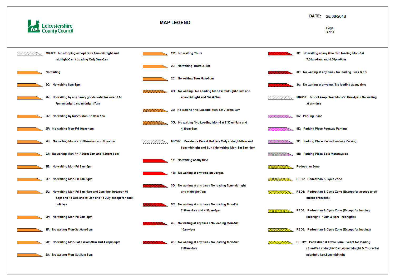



### DATE: 28/08/2018

Page 3 of 4

- 3B: No waiting at any time / No loading Mon-Sat 7.30am-9am and 4.30pm-6pm
- 3F: No waiting at any time / No loading Tues & Fri
- 3A: No waiting at anytime / No loading at any time
- MR656: School keep clear Mon-Fri 8am-4pm / No waiting at any time
- 9A: Parking Place
- 9D: Parking Place Footway Parking
- 9C: Parking Place Partial Footway Parking
- 9B: Parking Place Solo Motorcycles
- **Pedestrian Zone**
- PED2: Pedestrian & Cycle Zone
- PED1: Pedestrian & Cycle Zone (Except for access to off street premises)
- PED6: Pedestrian & Cycle Zone (Except for loading (midnight - 10am & 4pm - midnight))
- PED3: Pedestrian & Cycle Zone (Except for loading)
- PED12: Pedestrian & Cycle Zone Except for loading (Sun-Wed midnight-10am,4pm-midnight & Thurs-Sat midnight-4am,8pm-midnight